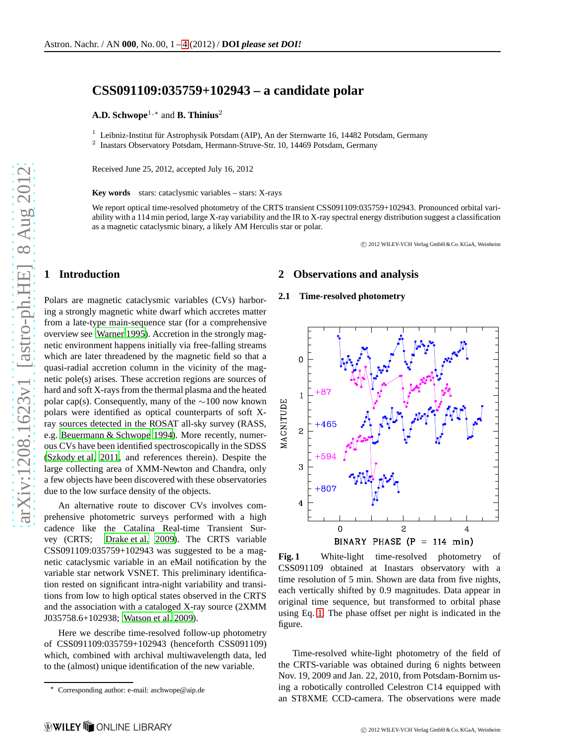# **CSS091109:035759+102943 – a candidate polar**

**A.D. Schwope**<sup>1,\*</sup> and **B. Thinius**<sup>2</sup>

 $1$  Leibniz-Institut für Astrophysik Potsdam (AIP), An der Sternwarte 16, 14482 Potsdam, Germany

2 Inastars Observatory Potsdam, Hermann-Struve-Str. 10, 14469 Potsdam, Germany

Received June 25, 2012, accepted July 16, 2012

**Key words** stars: cataclysmic variables – stars: X-rays

We report optical time-resolved photometry of the CRTS transient CSS091109:035759+102943. Pronounced orbital variability with a 114 min period, large X-ray variability and the IR to X-ray spectral energy distribution suggest a classification as a magnetic cataclysmic binary, a likely AM Herculis star or polar.

c 2012 WILEY-VCH Verlag GmbH & Co. KGaA, Weinheim

## **1 Introduction**

Polars are magnetic cataclysmic variables (CVs) harboring a strongly magnetic white dwarf which accretes matter from a late-type main-sequence star (for a comprehensive overview see [Warner 1995\)](#page-3-0). Accretion in the strongly magnetic environment happens initially via free-falling streams which are later threadened by the magnetic field so that a quasi-radial accretion column in the vicinity of the magnetic pole(s) arises. These accretion regions are sources of hard and soft X-rays from the thermal plasma and the heated polar cap(s). Consequently, many of the ∼100 now known polars were identified as optical counterparts of soft Xray sources detected in the ROSAT all-sky survey (RASS, e.g. [Beuermann & Schwope 1994\)](#page-2-1). More recently, numerous CVs have been identified spectroscopically in the SDSS [\(Szkody et al. 2011,](#page-3-1) and references therein). Despite the large collecting area of XMM-Newton and Chandra, only a few objects have been discovered with these observatories due to the low surface density of the objects.

An alternative route to discover CVs involves comprehensive photometric surveys performed with a high cadence like the Catalina Real-time Transient Survey (CRTS; [Drake et al. 2009\)](#page-3-2). The CRTS variable CSS091109:035759+102943 was suggested to be a magnetic cataclysmic variable in an eMail notification by the variable star network VSNET. This preliminary identification rested on significant intra-night variability and transitions from low to high optical states observed in the CRTS and the association with a cataloged X-ray source (2XMM J035758.6+102938; [Watson et al. 2009\)](#page-3-3).

Here we describe time-resolved follow-up photometry of CSS091109:035759+102943 (henceforth CSS091109) which, combined with archival multiwavelength data, led to the (almost) unique identification of the new variable.

# **2 Observations and analysis**

#### **2.1 Time-resolved photometry**



<span id="page-0-0"></span>**Fig. 1** White-light time-resolved photometry of CSS091109 obtained at Inastars observatory with a time resolution of 5 min. Shown are data from five nights, each vertically shifted by 0.9 magnitudes. Data appear in original time sequence, but transformed to orbital phase using Eq. [1.](#page-1-0) The phase offset per night is indicated in the figure.

Time-resolved white-light photometry of the field of the CRTS-variable was obtained during 6 nights between Nov. 19, 2009 and Jan. 22, 2010, from Potsdam-Bornim using a robotically controlled Celestron C14 equipped with an ST8XME CCD-camera. The observations were made

<sup>⋆</sup> Corresponding author: e-mail: aschwope@aip.de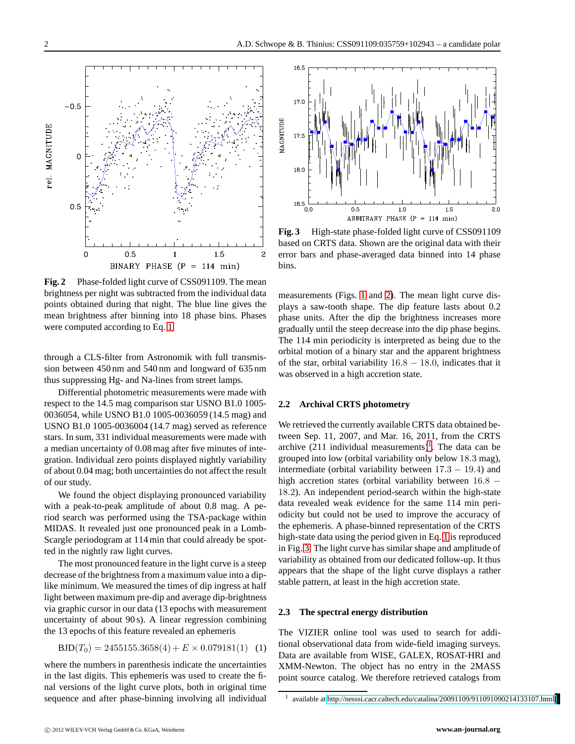

<span id="page-1-1"></span>**Fig. 2** Phase-folded light curve of CSS091109. The mean brightness per night was subtracted from the individual data points obtained during that night. The blue line gives the mean brightness after binning into 18 phase bins. Phases were computed according to Eq. [1.](#page-1-0)

through a CLS-filter from Astronomik with full transmission between 450 nm and 540 nm and longward of 635 nm thus suppressing Hg- and Na-lines from street lamps.

Differential photometric measurements were made with respect to the 14.5 mag comparison star USNO B1.0 1005- 0036054, while USNO B1.0 1005-0036059 (14.5 mag) and USNO B1.0 1005-0036004 (14.7 mag) served as reference stars. In sum, 331 individual measurements were made with a median uncertainty of 0.08 mag after five minutes of integration. Individual zero points displayed nightly variability of about 0.04 mag; both uncertainties do not affect the result of our study.

We found the object displaying pronounced variability with a peak-to-peak amplitude of about 0.8 mag. A period search was performed using the TSA-package within MIDAS. It revealed just one pronounced peak in a Lomb-Scargle periodogram at 114 min that could already be spotted in the nightly raw light curves.

The most pronounced feature in the light curve is a steep decrease of the brightness from a maximum value into a diplike minimum. We measured the times of dip ingress at half light between maximum pre-dip and average dip-brightness via graphic cursor in our data (13 epochs with measurement uncertainty of about 90 s). A linear regression combining the 13 epochs of this feature revealed an ephemeris

<span id="page-1-0"></span>
$$
BJD(T_0) = 2455155.3658(4) + E \times 0.079181(1)
$$
 (1)

where the numbers in parenthesis indicate the uncertainties in the last digits. This ephemeris was used to create the final versions of the light curve plots, both in original time sequence and after phase-binning involving all individual



<span id="page-1-3"></span>Fig. 3 High-state phase-folded light curve of CSS091109 based on CRTS data. Shown are the original data with their error bars and phase-averaged data binned into 14 phase bins.

measurements (Figs. [1](#page-0-0) and [2\)](#page-1-1). The mean light curve displays a saw-tooth shape. The dip feature lasts about 0.2 phase units. After the dip the brightness increases more gradually until the steep decrease into the dip phase begins. The 114 min periodicity is interpreted as being due to the orbital motion of a binary star and the apparent brightness of the star, orbital variability  $16.8 - 18.0$ , indicates that it was observed in a high accretion state.

#### **2.2 Archival CRTS photometry**

We retrieved the currently available CRTS data obtained between Sep. 11, 2007, and Mar. 16, 2011, from the CRTS archive  $(211 \text{ individual measurements})^1$  $(211 \text{ individual measurements})^1$  $(211 \text{ individual measurements})^1$ . The data can be grouped into low (orbital variability only below 18.3 mag), intermediate (orbital variability between  $17.3 - 19.4$ ) and high accretion states (orbital variability between 16.8 − 18.2). An independent period-search within the high-state data revealed weak evidence for the same 114 min periodicity but could not be used to improve the accuracy of the ephemeris. A phase-binned representation of the CRTS high-state data using the period given in Eq. [1](#page-1-0) is reproduced in Fig. [3.](#page-1-3) The light curve has similar shape and amplitude of variability as obtained from our dedicated follow-up. It thus appears that the shape of the light curve displays a rather stable pattern, at least in the high accretion state.

#### **2.3 The spectral energy distribution**

The VIZIER online tool was used to search for additional observational data from wide-field imaging surveys. Data are available from WISE, GALEX, ROSAT-HRI and XMM-Newton. The object has no entry in the 2MASS point source catalog. We therefore retrieved catalogs from

<span id="page-1-2"></span><sup>1</sup> available at<http://nesssi.cacr.caltech.edu/catalina/20091109/911091090214133107.html>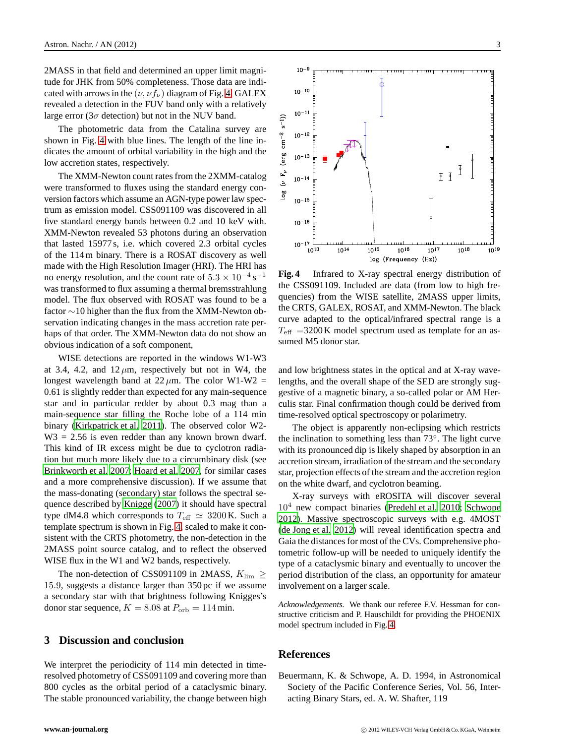2MASS in that field and determined an upper limit magnitude for JHK from 50% completeness. Those data are indicated with arrows in the  $(\nu, \nu f_\nu)$  diagram of Fig. [4.](#page-2-2) GALEX revealed a detection in the FUV band only with a relatively large error ( $3\sigma$  detection) but not in the NUV band.

The photometric data from the Catalina survey are shown in Fig. [4](#page-2-2) with blue lines. The length of the line indicates the amount of orbital variability in the high and the low accretion states, respectively.

The XMM-Newton count rates from the 2XMM-catalog were transformed to fluxes using the standard energy conversion factors which assume an AGN-type power law spectrum as emission model. CSS091109 was discovered in all five standard energy bands between 0.2 and 10 keV with. XMM-Newton revealed 53 photons during an observation that lasted 15977 s, i.e. which covered 2.3 orbital cycles of the 114 m binary. There is a ROSAT discovery as well made with the High Resolution Imager (HRI). The HRI has no energy resolution, and the count rate of  $5.3 \times 10^{-4}$  s<sup>-1</sup> was transformed to flux assuming a thermal bremsstrahlung model. The flux observed with ROSAT was found to be a factor ∼10 higher than the flux from the XMM-Newton observation indicating changes in the mass accretion rate perhaps of that order. The XMM-Newton data do not show an obvious indication of a soft component,

WISE detections are reported in the windows W1-W3 at 3.4, 4.2, and  $12 \mu m$ , respectively but not in W4, the longest wavelength band at  $22 \mu m$ . The color W1-W2 = 0.61 is slightly redder than expected for any main-sequence star and in particular redder by about 0.3 mag than a main-sequence star filling the Roche lobe of a 114 min binary [\(Kirkpatrick et al. 2011\)](#page-3-4). The observed color W2-  $W3 = 2.56$  is even redder than any known brown dwarf. This kind of IR excess might be due to cyclotron radiation but much more likely due to a circumbinary disk (see [Brinkworth et al. 2007;](#page-3-5) [Hoard et al. 2007,](#page-3-6) for similar cases and a more comprehensive discussion). If we assume that the mass-donating (secondary) star follows the spectral sequence described by [Knigge](#page-3-7) [\(2007\)](#page-3-7) it should have spectral type dM4.8 which corresponds to  $T_{\text{eff}} \simeq 3200 \text{ K}$ . Such a template spectrum is shown in Fig. [4,](#page-2-2) scaled to make it consistent with the CRTS photometry, the non-detection in the 2MASS point source catalog, and to reflect the observed WISE flux in the W1 and W2 bands, respectively.

The non-detection of CSS091109 in 2MASS,  $K_{\text{lim}} \geq$ 15.9, suggests a distance larger than 350 pc if we assume a secondary star with that brightness following Knigges's donor star sequence,  $K = 8.08$  at  $P_{\rm orb} = 114$  min.

## **3 Discussion and conclusion**

We interpret the periodicity of 114 min detected in timeresolved photometry of CSS091109 and covering more than 800 cycles as the orbital period of a cataclysmic binary. The stable pronounced variability, the change between high



<span id="page-2-2"></span>**Fig. 4** Infrared to X-ray spectral energy distribution of the CSS091109. Included are data (from low to high frequencies) from the WISE satellite, 2MASS upper limits, the CRTS, GALEX, ROSAT, and XMM-Newton. The black curve adapted to the optical/infrared spectral range is a  $T_{\text{eff}}$  =3200 K model spectrum used as template for an assumed M5 donor star.

and low brightness states in the optical and at X-ray wavelengths, and the overall shape of the SED are strongly suggestive of a magnetic binary, a so-called polar or AM Herculis star. Final confirmation though could be derived from time-resolved optical spectroscopy or polarimetry.

The object is apparently non-eclipsing which restricts the inclination to something less than 73◦ . The light curve with its pronounced dip is likely shaped by absorption in an accretion stream, irradiation of the stream and the secondary star, projection effects of the stream and the accretion region on the white dwarf, and cyclotron beaming.

X-ray surveys with eROSITA will discover several  $10<sup>4</sup>$  new compact binaries [\(Predehl et al. 2010;](#page-3-8) [Schwope](#page-3-9) [2012\)](#page-3-9). Massive spectroscopic surveys with e.g. 4MOST [\(de Jong et al. 2012](#page-3-10)) will reveal identification spectra and Gaia the distances for most of the CVs. Comprehensive photometric follow-up will be needed to uniquely identify the type of a cataclysmic binary and eventually to uncover the period distribution of the class, an opportunity for amateur involvement on a larger scale.

*Acknowledgements.* We thank our referee F.V. Hessman for constructive criticism and P. Hauschildt for providing the PHOENIX model spectrum included in Fig. [4.](#page-2-2)

## <span id="page-2-0"></span>**References**

<span id="page-2-1"></span>Beuermann, K. & Schwope, A. D. 1994, in Astronomical Society of the Pacific Conference Series, Vol. 56, Interacting Binary Stars, ed. A. W. Shafter, 119